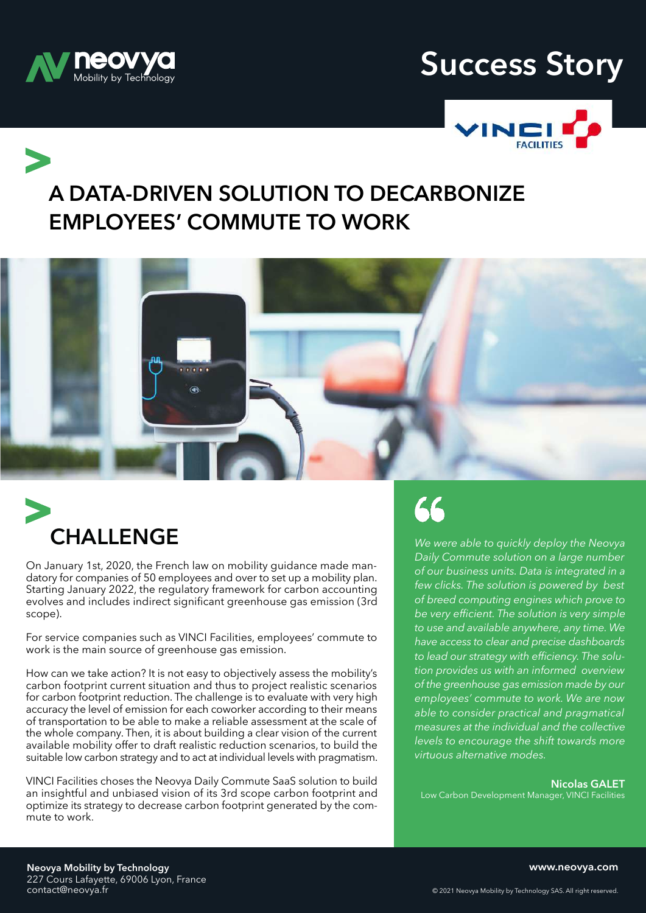

## **neovya Success Story**



**A DATA-DRIVEN SOLUTION TO DECARBONIZE EMPLOYEES' COMMUTE TO WORK**





On January 1st, 2020, the French law on mobility guidance made mandatory for companies of 50 employees and over to set up a mobility plan. Starting January 2022, the regulatory framework for carbon accounting evolves and includes indirect significant greenhouse gas emission (3rd scope).

For service companies such as VINCI Facilities, employees' commute to work is the main source of greenhouse gas emission.

How can we take action? It is not easy to objectively assess the mobility's carbon footprint current situation and thus to project realistic scenarios for carbon footprint reduction. The challenge is to evaluate with very high accuracy the level of emission for each coworker according to their means of transportation to be able to make a reliable assessment at the scale of the whole company. Then, it is about building a clear vision of the current available mobility offer to draft realistic reduction scenarios, to build the suitable low carbon strategy and to act at individual levels with pragmatism.

VINCI Facilities choses the Neovya Daily Commute SaaS solution to build an insightful and unbiased vision of its 3rd scope carbon footprint and optimize its strategy to decrease carbon footprint generated by the commute to work.

66

*We were able to quickly deploy the Neovya Daily Commute solution on a large number of our business units. Data is integrated in a few clicks. The solution is powered by best of breed computing engines which prove to be very efficient. The solution is very simple to use and available anywhere, any time. We have access to clear and precise dashboards to lead our strategy with efficiency. The solution provides us with an informed overview of the greenhouse gas emission made by our employees' commute to work. We are now able to consider practical and pragmatical measures at the individual and the collective levels to encourage the shift towards more virtuous alternative modes.* 

**Nicolas GALET** Low Carbon Development Manager, VINCI Facilities

**www.neovya.com**